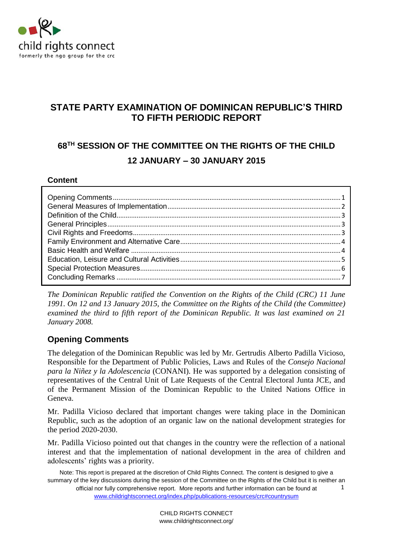

# **STATE PARTY EXAMINATION OF DOMINICAN REPUBLIC'S THIRD TO FIFTH PERIODIC REPORT**

# **68TH SESSION OF THE COMMITTEE ON THE RIGHTS OF THE CHILD 12 JANUARY – 30 JANUARY 2015**

### **Content**

*The Dominican Republic ratified the Convention on the Rights of the Child (CRC) 11 June 1991. On 12 and 13 January 2015, the Committee on the Rights of the Child (the Committee) examined the third to fifth report of the Dominican Republic. It was last examined on 21 January 2008.*

### <span id="page-0-0"></span>**Opening Comments**

The delegation of the Dominican Republic was led by Mr. Gertrudis Alberto Padilla Vicioso, Responsible for the Department of Public Policies, Laws and Rules of the *Consejo Nacional para la Niñez y la Adolescencia* (CONANI). He was supported by a delegation consisting of representatives of the Central Unit of Late Requests of the Central Electoral Junta JCE, and of the Permanent Mission of the Dominican Republic to the United Nations Office in Geneva.

Mr. Padilla Vicioso declared that important changes were taking place in the Dominican Republic, such as the adoption of an organic law on the national development strategies for the period 2020-2030.

Mr. Padilla Vicioso pointed out that changes in the country were the reflection of a national interest and that the implementation of national development in the area of children and adolescents' rights was a priority.

Note: This report is prepared at the discretion of Child Rights Connect. The content is designed to give a summary of the key discussions during the session of the Committee on the Rights of the Child but it is neither an official nor fully comprehensive report. More reports and further information can be found at [www.childrightsconnect.org/index.php/publications-resources/crc#countrysum](http://www.childrightsconnect.org/index.php/publications-resources/crc#countrysum) 1

> CHILD RIGHTS CONNECT www.childrightsconnect.org/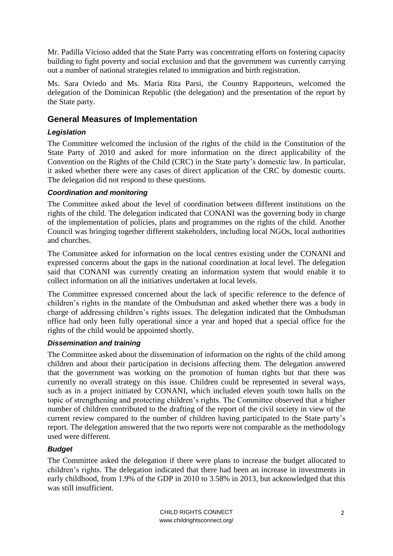Mr. Padilla Vicioso added that the State Party was concentrating efforts on fostering capacity building to fight poverty and social exclusion and that the government was currently carrying out a number of national strategies related to immigration and birth registration.

Ms. Sara Oviedo and Ms. Maria Rita Parsi, the Country Rapporteurs, welcomed the delegation of the Dominican Republic (the delegation) and the presentation of the report by the State party.

### <span id="page-1-0"></span>**General Measures of Implementation**

### *Legislation*

The Committee welcomed the inclusion of the rights of the child in the Constitution of the State Party of 2010 and asked for more information on the direct applicability of the Convention on the Rights of the Child (CRC) in the State party's domestic law. In particular, it asked whether there were any cases of direct application of the CRC by domestic courts. The delegation did not respond to these questions.

### *Coordination and monitoring*

The Committee asked about the level of coordination between different institutions on the rights of the child. The delegation indicated that CONANI was the governing body in charge of the implementation of policies, plans and programmes on the rights of the child. Another Council was bringing together different stakeholders, including local NGOs, local authorities and churches.

The Committee asked for information on the local centres existing under the CONANI and expressed concerns about the gaps in the national coordination at local level. The delegation said that CONANI was currently creating an information system that would enable it to collect information on all the initiatives undertaken at local levels.

The Committee expressed concerned about the lack of specific reference to the defence of children's rights in the mandate of the Ombudsman and asked whether there was a body in charge of addressing children's rights issues. The delegation indicated that the Ombudsman office had only been fully operational since a year and hoped that a special office for the rights of the child would be appointed shortly.

### *Dissemination and training*

The Committee asked about the dissemination of information on the rights of the child among children and about their participation in decisions affecting them. The delegation answered that the government was working on the promotion of human rights but that there was currently no overall strategy on this issue. Children could be represented in several ways, such as in a project initiated by CONANI, which included eleven youth town halls on the topic of strengthening and protecting children's rights. The Committee observed that a higher number of children contributed to the drafting of the report of the civil society in view of the current review compared to the number of children having participated to the State party's report. The delegation answered that the two reports were not comparable as the methodology used were different.

### *Budget*

The Committee asked the delegation if there were plans to increase the budget allocated to children's rights. The delegation indicated that there had been an increase in investments in early childhood, from 1.9% of the GDP in 2010 to 3.58% in 2013, but acknowledged that this was still insufficient.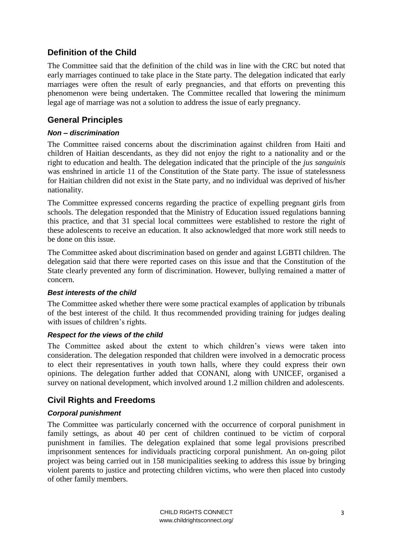# <span id="page-2-0"></span>**Definition of the Child**

The Committee said that the definition of the child was in line with the CRC but noted that early marriages continued to take place in the State party. The delegation indicated that early marriages were often the result of early pregnancies, and that efforts on preventing this phenomenon were being undertaken. The Committee recalled that lowering the minimum legal age of marriage was not a solution to address the issue of early pregnancy.

### <span id="page-2-1"></span>**General Principles**

### *Non – discrimination*

The Committee raised concerns about the discrimination against children from Haiti and children of Haitian descendants, as they did not enjoy the right to a nationality and or the right to education and health. The delegation indicated that the principle of the *jus sanguinis* was enshrined in article 11 of the Constitution of the State party. The issue of statelessness for Haitian children did not exist in the State party, and no individual was deprived of his/her nationality.

The Committee expressed concerns regarding the practice of expelling pregnant girls from schools. The delegation responded that the Ministry of Education issued regulations banning this practice, and that 31 special local committees were established to restore the right of these adolescents to receive an education. It also acknowledged that more work still needs to be done on this issue.

The Committee asked about discrimination based on gender and against LGBTI children. The delegation said that there were reported cases on this issue and that the Constitution of the State clearly prevented any form of discrimination. However, bullying remained a matter of concern.

### *Best interests of the child*

The Committee asked whether there were some practical examples of application by tribunals of the best interest of the child. It thus recommended providing training for judges dealing with issues of children's rights.

### *Respect for the views of the child*

The Committee asked about the extent to which children's views were taken into consideration. The delegation responded that children were involved in a democratic process to elect their representatives in youth town halls, where they could express their own opinions. The delegation further added that CONANI, along with UNICEF, organised a survey on national development, which involved around 1.2 million children and adolescents.

## <span id="page-2-2"></span>**Civil Rights and Freedoms**

### *Corporal punishment*

The Committee was particularly concerned with the occurrence of corporal punishment in family settings, as about 40 per cent of children continued to be victim of corporal punishment in families. The delegation explained that some legal provisions prescribed imprisonment sentences for individuals practicing corporal punishment. An on-going pilot project was being carried out in 158 municipalities seeking to address this issue by bringing violent parents to justice and protecting children victims, who were then placed into custody of other family members.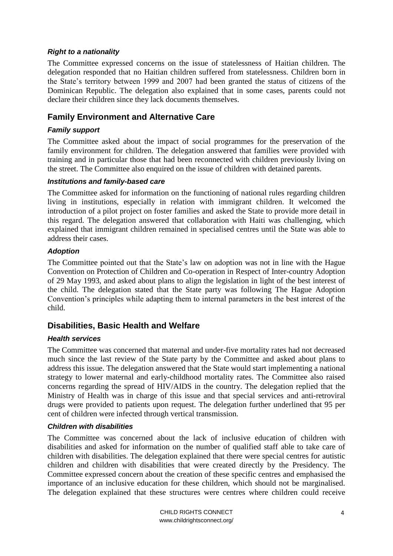#### *Right to a nationality*

The Committee expressed concerns on the issue of statelessness of Haitian children. The delegation responded that no Haitian children suffered from statelessness. Children born in the State's territory between 1999 and 2007 had been granted the status of citizens of the Dominican Republic. The delegation also explained that in some cases, parents could not declare their children since they lack documents themselves.

### <span id="page-3-0"></span>**Family Environment and Alternative Care**

### *Family support*

The Committee asked about the impact of social programmes for the preservation of the family environment for children. The delegation answered that families were provided with training and in particular those that had been reconnected with children previously living on the street. The Committee also enquired on the issue of children with detained parents.

#### *Institutions and family-based care*

The Committee asked for information on the functioning of national rules regarding children living in institutions, especially in relation with immigrant children. It welcomed the introduction of a pilot project on foster families and asked the State to provide more detail in this regard. The delegation answered that collaboration with Haiti was challenging, which explained that immigrant children remained in specialised centres until the State was able to address their cases.

#### *Adoption*

The Committee pointed out that the State's law on adoption was not in line with the Hague Convention on Protection of Children and Co-operation in Respect of Inter-country Adoption of 29 May 1993, and asked about plans to align the legislation in light of the best interest of the child. The delegation stated that the State party was following The Hague Adoption Convention's principles while adapting them to internal parameters in the best interest of the child.

### <span id="page-3-1"></span>**Disabilities, Basic Health and Welfare**

#### *Health services*

The Committee was concerned that maternal and under-five mortality rates had not decreased much since the last review of the State party by the Committee and asked about plans to address this issue. The delegation answered that the State would start implementing a national strategy to lower maternal and early-childhood mortality rates. The Committee also raised concerns regarding the spread of HIV/AIDS in the country. The delegation replied that the Ministry of Health was in charge of this issue and that special services and anti-retroviral drugs were provided to patients upon request. The delegation further underlined that 95 per cent of children were infected through vertical transmission.

#### *Children with disabilities*

The Committee was concerned about the lack of inclusive education of children with disabilities and asked for information on the number of qualified staff able to take care of children with disabilities. The delegation explained that there were special centres for autistic children and children with disabilities that were created directly by the Presidency. The Committee expressed concern about the creation of these specific centres and emphasised the importance of an inclusive education for these children, which should not be marginalised. The delegation explained that these structures were centres where children could receive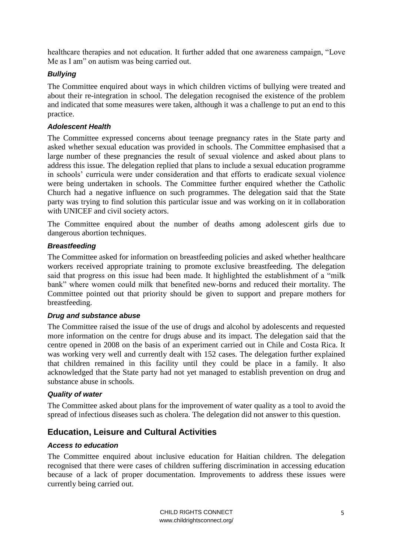healthcare therapies and not education. It further added that one awareness campaign, "Love Me as I am" on autism was being carried out.

### *Bullying*

The Committee enquired about ways in which children victims of bullying were treated and about their re-integration in school. The delegation recognised the existence of the problem and indicated that some measures were taken, although it was a challenge to put an end to this practice.

### *Adolescent Health*

The Committee expressed concerns about teenage pregnancy rates in the State party and asked whether sexual education was provided in schools. The Committee emphasised that a large number of these pregnancies the result of sexual violence and asked about plans to address this issue. The delegation replied that plans to include a sexual education programme in schools' curricula were under consideration and that efforts to eradicate sexual violence were being undertaken in schools. The Committee further enquired whether the Catholic Church had a negative influence on such programmes. The delegation said that the State party was trying to find solution this particular issue and was working on it in collaboration with UNICEF and civil society actors.

The Committee enquired about the number of deaths among adolescent girls due to dangerous abortion techniques.

#### *Breastfeeding*

The Committee asked for information on breastfeeding policies and asked whether healthcare workers received appropriate training to promote exclusive breastfeeding. The delegation said that progress on this issue had been made. It highlighted the establishment of a "milk bank" where women could milk that benefited new-borns and reduced their mortality. The Committee pointed out that priority should be given to support and prepare mothers for breastfeeding.

#### *Drug and substance abuse*

The Committee raised the issue of the use of drugs and alcohol by adolescents and requested more information on the centre for drugs abuse and its impact. The delegation said that the centre opened in 2008 on the basis of an experiment carried out in Chile and Costa Rica. It was working very well and currently dealt with 152 cases. The delegation further explained that children remained in this facility until they could be place in a family. It also acknowledged that the State party had not yet managed to establish prevention on drug and substance abuse in schools.

### *Quality of water*

The Committee asked about plans for the improvement of water quality as a tool to avoid the spread of infectious diseases such as cholera. The delegation did not answer to this question.

### <span id="page-4-0"></span>**Education, Leisure and Cultural Activities**

#### *Access to education*

The Committee enquired about inclusive education for Haitian children. The delegation recognised that there were cases of children suffering discrimination in accessing education because of a lack of proper documentation. Improvements to address these issues were currently being carried out.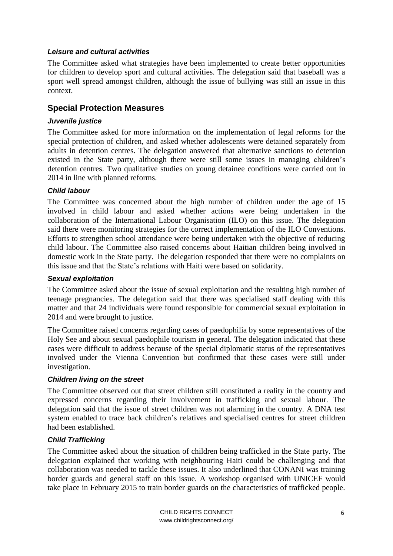### *Leisure and cultural activities*

The Committee asked what strategies have been implemented to create better opportunities for children to develop sport and cultural activities. The delegation said that baseball was a sport well spread amongst children, although the issue of bullying was still an issue in this context.

### <span id="page-5-0"></span>**Special Protection Measures**

#### *Juvenile justice*

The Committee asked for more information on the implementation of legal reforms for the special protection of children, and asked whether adolescents were detained separately from adults in detention centres. The delegation answered that alternative sanctions to detention existed in the State party, although there were still some issues in managing children's detention centres. Two qualitative studies on young detainee conditions were carried out in 2014 in line with planned reforms.

### *Child labour*

The Committee was concerned about the high number of children under the age of 15 involved in child labour and asked whether actions were being undertaken in the collaboration of the International Labour Organisation (ILO) on this issue. The delegation said there were monitoring strategies for the correct implementation of the ILO Conventions. Efforts to strengthen school attendance were being undertaken with the objective of reducing child labour. The Committee also raised concerns about Haitian children being involved in domestic work in the State party. The delegation responded that there were no complaints on this issue and that the State's relations with Haiti were based on solidarity.

#### *Sexual exploitation*

The Committee asked about the issue of sexual exploitation and the resulting high number of teenage pregnancies. The delegation said that there was specialised staff dealing with this matter and that 24 individuals were found responsible for commercial sexual exploitation in 2014 and were brought to justice.

The Committee raised concerns regarding cases of paedophilia by some representatives of the Holy See and about sexual paedophile tourism in general. The delegation indicated that these cases were difficult to address because of the special diplomatic status of the representatives involved under the Vienna Convention but confirmed that these cases were still under investigation.

#### *Children living on the street*

The Committee observed out that street children still constituted a reality in the country and expressed concerns regarding their involvement in trafficking and sexual labour. The delegation said that the issue of street children was not alarming in the country. A DNA test system enabled to trace back children's relatives and specialised centres for street children had been established.

### *Child Trafficking*

The Committee asked about the situation of children being trafficked in the State party. The delegation explained that working with neighbouring Haiti could be challenging and that collaboration was needed to tackle these issues. It also underlined that CONANI was training border guards and general staff on this issue. A workshop organised with UNICEF would take place in February 2015 to train border guards on the characteristics of trafficked people.